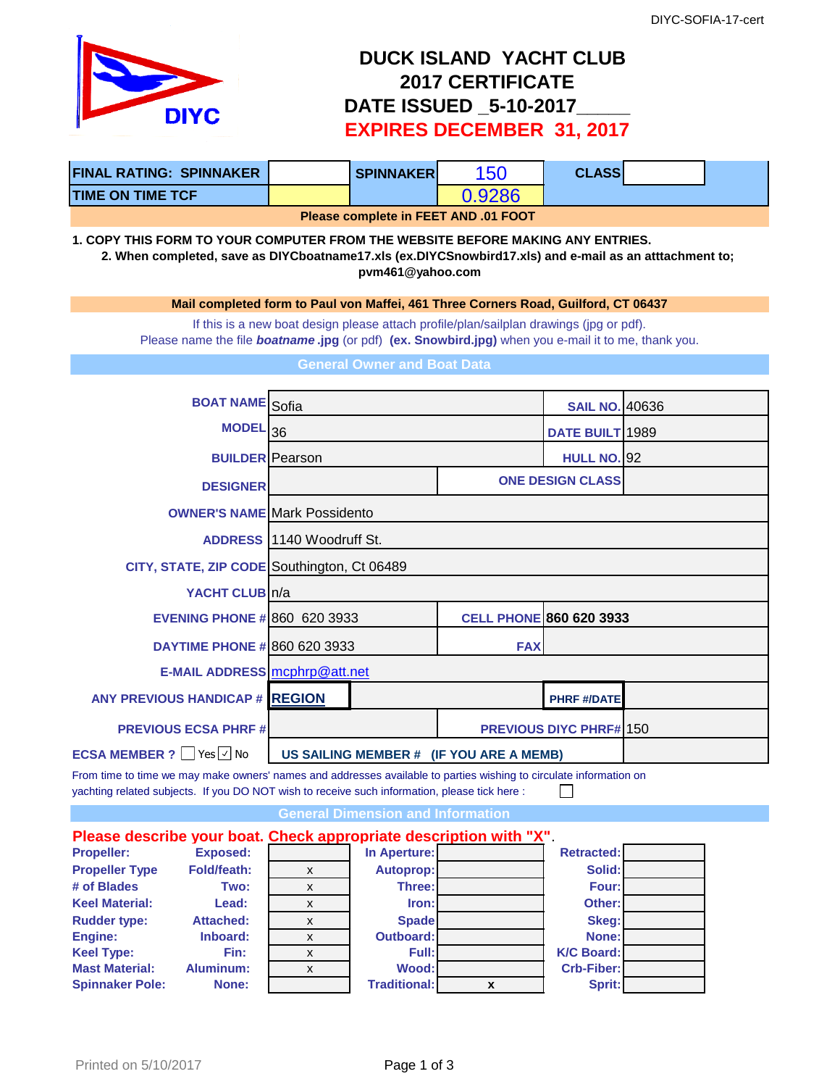

## **DUCK ISLAND YACHT CLUB 2017 CERTIFICATE DATE ISSUED \_5-10-2017\_\_\_\_\_ EXPIRES DECEMBER 31, 2017**

| <b>FINAL RATING: SPINNAKER  </b> |  | <b>SPINNAKER</b> | '56 | <b>CLASS</b> |  |  |
|----------------------------------|--|------------------|-----|--------------|--|--|
| <b>TIME ON TIME TCF</b>          |  |                  |     |              |  |  |
|                                  |  |                  |     |              |  |  |

**Please complete in FEET AND .01 FOOT** 

**1. COPY THIS FORM TO YOUR COMPUTER FROM THE WEBSITE BEFORE MAKING ANY ENTRIES. 2. When completed, save as DIYCboatname17.xls (ex.DIYCSnowbird17.xls) and e-mail as an atttachment to; pvm461@yahoo.com**

**Mail completed form to Paul von Maffei, 461 Three Corners Road, Guilford, CT 06437**

If this is a new boat design please attach profile/plan/sailplan drawings (jpg or pdf). Please name the file *boatname* **.jpg** (or pdf) **(ex. Snowbird.jpg)** when you e-mail it to me, thank you.

**General Owner and Boat Data**

| <b>BOAT NAME</b> Sofia                                                |                                         |                                | <b>SAIL NO. 40636</b>          |  |
|-----------------------------------------------------------------------|-----------------------------------------|--------------------------------|--------------------------------|--|
| <b>MODEL</b>                                                          | 36                                      |                                | DATE BUILT 1989                |  |
| <b>BUILDER</b> Pearson                                                |                                         |                                | <b>HULL NO. 92</b>             |  |
| <b>DESIGNER</b>                                                       |                                         |                                | <b>ONE DESIGN CLASS</b>        |  |
|                                                                       | <b>OWNER'S NAME Mark Possidento</b>     |                                |                                |  |
|                                                                       | <b>ADDRESS</b> 1140 Woodruff St.        |                                |                                |  |
| CITY, STATE, ZIP CODE Southington, Ct 06489                           |                                         |                                |                                |  |
| YACHT CLUB n/a                                                        |                                         |                                |                                |  |
| <b>EVENING PHONE # 860 620 3933</b>                                   |                                         | <b>CELL PHONE 860 620 3933</b> |                                |  |
| <b>DAYTIME PHONE # 860 620 3933</b>                                   |                                         | <b>FAX</b>                     |                                |  |
| E-MAIL ADDRESS mcphrp@att.net                                         |                                         |                                |                                |  |
| <b>ANY PREVIOUS HANDICAP # REGION</b>                                 |                                         |                                | <b>PHRF #/DATE</b>             |  |
| <b>PREVIOUS ECSA PHRF#</b>                                            |                                         |                                | <b>PREVIOUS DIYC PHRF#1150</b> |  |
| <b>ECSA MEMBER ?</b> $\sqrt{\frac{1}{1}}$ Yes $\sqrt{\frac{1}{1}}$ No | US SAILING MEMBER # (IF YOU ARE A MEMB) |                                |                                |  |
|                                                                       |                                         |                                |                                |  |

From time to time we may make owners' names and addresses available to parties wishing to circulate information on yachting related subjects. If you DO NOT wish to receive such information, please tick here :  $\Box$ 

**General Dimension and Information**

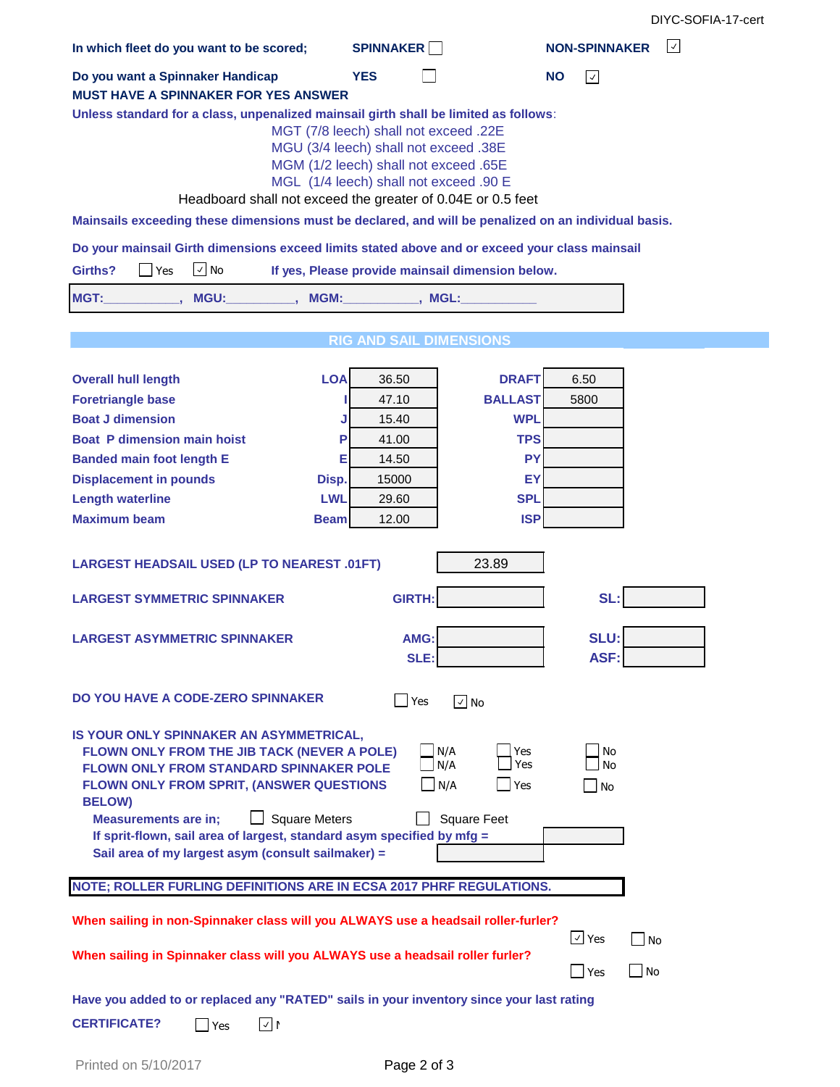DIYC-SOFIA-17-cert

| In which fleet do you want to be scored;                                                                                                                                                                                                                                                                                                                                                                                                                                              | <b>SPINNAKER</b>                                 | $ \vee $<br><b>NON-SPINNAKER</b> |  |  |  |  |
|---------------------------------------------------------------------------------------------------------------------------------------------------------------------------------------------------------------------------------------------------------------------------------------------------------------------------------------------------------------------------------------------------------------------------------------------------------------------------------------|--------------------------------------------------|----------------------------------|--|--|--|--|
| Do you want a Spinnaker Handicap                                                                                                                                                                                                                                                                                                                                                                                                                                                      | <b>YES</b>                                       | <b>NO</b><br>$ \vee $            |  |  |  |  |
| <b>MUST HAVE A SPINNAKER FOR YES ANSWER</b>                                                                                                                                                                                                                                                                                                                                                                                                                                           |                                                  |                                  |  |  |  |  |
| Unless standard for a class, unpenalized mainsail girth shall be limited as follows:<br>MGT (7/8 leech) shall not exceed .22E<br>MGU (3/4 leech) shall not exceed .38E<br>MGM (1/2 leech) shall not exceed .65E<br>MGL (1/4 leech) shall not exceed .90 E<br>Headboard shall not exceed the greater of 0.04E or 0.5 feet                                                                                                                                                              |                                                  |                                  |  |  |  |  |
| Mainsails exceeding these dimensions must be declared, and will be penalized on an individual basis.                                                                                                                                                                                                                                                                                                                                                                                  |                                                  |                                  |  |  |  |  |
| Do your mainsail Girth dimensions exceed limits stated above and or exceed your class mainsail                                                                                                                                                                                                                                                                                                                                                                                        |                                                  |                                  |  |  |  |  |
| $\vee$ No<br>Girths?<br>Yes                                                                                                                                                                                                                                                                                                                                                                                                                                                           | If yes, Please provide mainsail dimension below. |                                  |  |  |  |  |
| MGT:<br>MGU: __________, MGM: _________, MGL:                                                                                                                                                                                                                                                                                                                                                                                                                                         |                                                  |                                  |  |  |  |  |
|                                                                                                                                                                                                                                                                                                                                                                                                                                                                                       |                                                  |                                  |  |  |  |  |
|                                                                                                                                                                                                                                                                                                                                                                                                                                                                                       | <b>RIG AND SAIL DIMENSIONS</b>                   |                                  |  |  |  |  |
| <b>LOA</b><br><b>Overall hull length</b>                                                                                                                                                                                                                                                                                                                                                                                                                                              | 36.50<br><b>DRAFT</b>                            | 6.50                             |  |  |  |  |
| <b>Foretriangle base</b>                                                                                                                                                                                                                                                                                                                                                                                                                                                              | <b>BALLAST</b><br>47.10                          | 5800                             |  |  |  |  |
| <b>Boat J dimension</b><br>J                                                                                                                                                                                                                                                                                                                                                                                                                                                          | 15.40<br><b>WPL</b>                              |                                  |  |  |  |  |
| <b>Boat P dimension main hoist</b><br>P                                                                                                                                                                                                                                                                                                                                                                                                                                               | <b>TPS</b><br>41.00                              |                                  |  |  |  |  |
| <b>Banded main foot length E</b><br>Е                                                                                                                                                                                                                                                                                                                                                                                                                                                 | <b>PY</b><br>14.50                               |                                  |  |  |  |  |
| <b>Displacement in pounds</b><br>Disp.                                                                                                                                                                                                                                                                                                                                                                                                                                                | 15000<br>ΕY                                      |                                  |  |  |  |  |
| <b>Length waterline</b><br><b>LWL</b>                                                                                                                                                                                                                                                                                                                                                                                                                                                 | <b>SPL</b><br>29.60                              |                                  |  |  |  |  |
| <b>Maximum beam</b><br><b>Beam</b>                                                                                                                                                                                                                                                                                                                                                                                                                                                    | <b>ISP</b><br>12.00                              |                                  |  |  |  |  |
| <b>LARGEST HEADSAIL USED (LP TO NEAREST .01FT)</b>                                                                                                                                                                                                                                                                                                                                                                                                                                    | 23.89                                            |                                  |  |  |  |  |
| SL:<br><b>GIRTH:</b><br><b>LARGEST SYMMETRIC SPINNAKER</b>                                                                                                                                                                                                                                                                                                                                                                                                                            |                                                  |                                  |  |  |  |  |
| <b>LARGEST ASYMMETRIC SPINNAKER</b>                                                                                                                                                                                                                                                                                                                                                                                                                                                   | AMG:<br>SLE:                                     | <b>SLU:</b><br>ASF:              |  |  |  |  |
| DO YOU HAVE A CODE-ZERO SPINNAKER<br>$\blacksquare$ Yes<br>$\sqrt{ }$ No                                                                                                                                                                                                                                                                                                                                                                                                              |                                                  |                                  |  |  |  |  |
| IS YOUR ONLY SPINNAKER AN ASYMMETRICAL,<br>N/A<br>FLOWN ONLY FROM THE JIB TACK (NEVER A POLE)<br>Yes<br>No<br>Yes<br>N/A<br>No<br><b>FLOWN ONLY FROM STANDARD SPINNAKER POLE</b><br>FLOWN ONLY FROM SPRIT, (ANSWER QUESTIONS<br>N/A<br>Yes<br><b>No</b><br><b>BELOW)</b><br><b>Square Meters</b><br><b>Square Feet</b><br><b>Measurements are in;</b><br>If sprit-flown, sail area of largest, standard asym specified by mfg =<br>Sail area of my largest asym (consult sailmaker) = |                                                  |                                  |  |  |  |  |
| NOTE; ROLLER FURLING DEFINITIONS ARE IN ECSA 2017 PHRF REGULATIONS.                                                                                                                                                                                                                                                                                                                                                                                                                   |                                                  |                                  |  |  |  |  |
| When sailing in non-Spinnaker class will you ALWAYS use a headsail roller-furler?<br>$\sqrt{ }$ Yes<br>T <sub>No</sub>                                                                                                                                                                                                                                                                                                                                                                |                                                  |                                  |  |  |  |  |
| When sailing in Spinnaker class will you ALWAYS use a headsail roller furler?                                                                                                                                                                                                                                                                                                                                                                                                         | $\Box$ No<br>Yes                                 |                                  |  |  |  |  |
| Have you added to or replaced any "RATED" sails in your inventory since your last rating<br><b>CERTIFICATE?</b><br>√∣≀<br>$\mathsf{\rightharpoonup}$ Yes                                                                                                                                                                                                                                                                                                                              |                                                  |                                  |  |  |  |  |